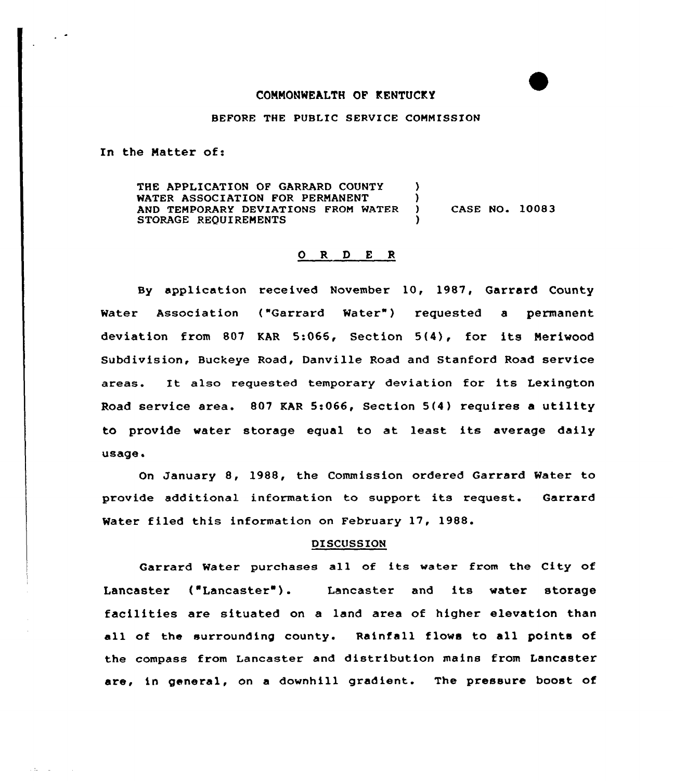## COMMONWEALTH OF KENTUCKY

## BEFORE THE PUBLIC SERVICE COMMISSION

In the Matter of:

THE APPLICATION OF GARRARD COUNTY WATER ASSOCIATION FOR PERMANENT AND TEMPORARY DEVIATIONS FROM WATER STORAGE REQUIREMENTS ) )<br>) CASE NO. 10083 )

## 0 R <sup>D</sup> E <sup>R</sup>

By application received November 10, 1987, Garrard County Water Association ("Garrard Water") requested a permanent deviation fram 807 KAR 5:066, Section 5(4), for its Meriwood Subdivision, Buckeye Road, Danville Road and Stanford Road service areas. It also requested temporary deviation for its Lexington Road service area. 807 EAR 5:066, Section 5(4) requires a utility to provide water storage equal to at least its average daily usage.

On January 8, 1988, the Commission ordered Garrard Water to provide additional information to support its request. Garrard Water filed this information on February 17, 1988.

## **DISCUSSION**

Garrard Water purchases all of its water from the City of Lancaster ("Lancaster ). Lancaster and its water storage facilities are situated on a land area of higher elevation than all of the surrounding county. Rainfall flows to all points of the compass from Lancaster and distribution mains from Lancaster are, in general, on a downhill gradient. The pressure boost of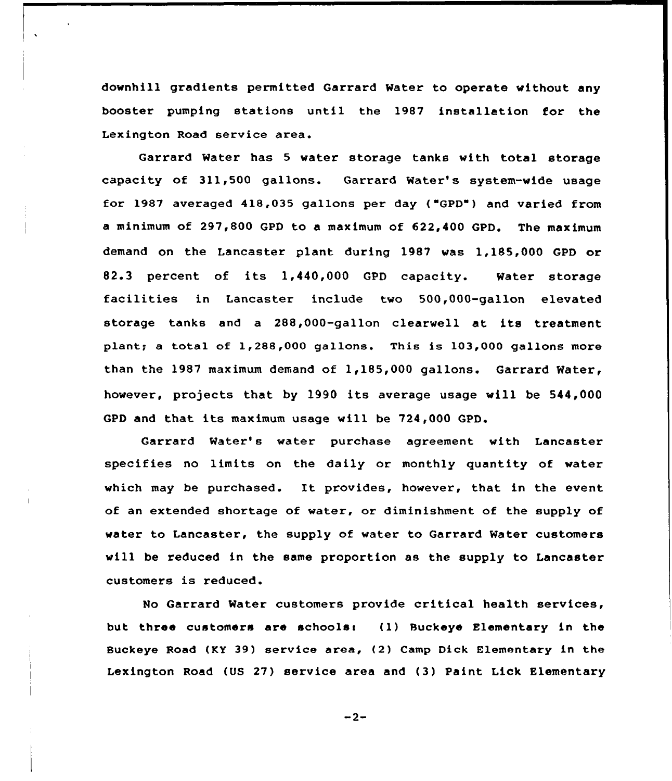downhill gradients permitted Garrard Mater to operate without any booster pumping stations until the 1987 installation for the Lexington Road service area.

Garrard Water has <sup>5</sup> water storage tanks with total storage capacity of 311,500 gallons. Garrard Water's system-vide usage for 1987 averaged 418,035 gallons per day ( GPD") and varied from a minimum of 297,800 GPD to a maximum of 622,400 GPD. The maximum demand on the Lancaster plant during 1987 was 1,185,000 GPD or 82.3 percent of its 1,440,000 GPD capacity. Water storage facilities in Lancaster include two 500,000-gallon elevated storage tanks and a 288,000-gallon clearwell at its treatment plant; <sup>a</sup> tctal of 1,288,000 gallons. This is 103,000 gallons more than the 1987 maximum demand of 1,185,000 gallons. Garrard Water, however, projects that by 1990 its average usage will be 544,000 GPD and that its maximum usage will be 724,000 GPD.

Garrard Water's water purchase agreement with Lancaster specifies no limits on the daily or monthly quantity of water which may be purchased. It provides, however, that in the event of an extended shortage of water, or diminishment of the supply of water to Lancaster, the supply of water to Garrard Water customers will be reduced in the same proportion as the supply to Lancaster customers is reduced.

No Garrard Water customers provide critical health services, but three customers are schools: (1) Buckeye Elementary in the Buckeye Road (KY 39) service area, (2) Camp Dick Elementary in the Lexington Road (US 27) service area and (3) Paint Lick Elementary

 $-2-$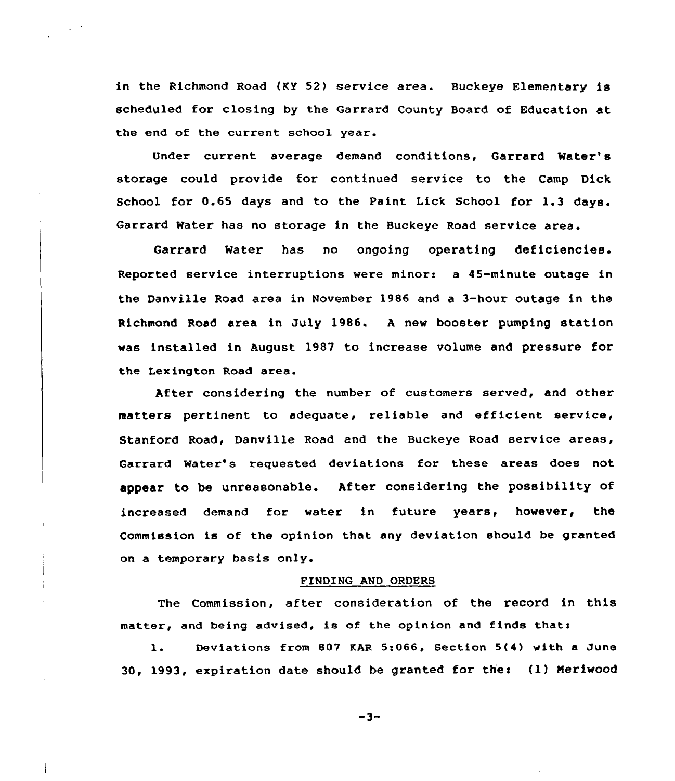in the Richmond Road (KY 52) service area. Buckeye Elementary is scheduled for closing by the Garrard County Board of Education at the end of the current school year.

Under current average demand conditions, Garrard Water' storage could provide for continued service to the Camp Dick School for 0.65 days and to the Paint Lick School for 1.3 days. Garrard Water has no storage in the Buckeye Road service area.

Garrard Water has no ongoing operating deficiencies. Reported service interruptions were minor: a 45-minute outage in the Danville Road area in November 1986 and a 3-hour outage in the Richmond Road area in July 1986. <sup>A</sup> new booster pumping station was installed in August 1987 to increase volume and pressure for the Lexington Road area.

After considering the number of customers served, and other matters pertinent to adequate, reliable and efficient service, Stanford Road, Danville Road and the Buckeye Road service areas, Garrard Water's requested deviations for these areas does not appear to be unreasonable. After considering the possibility of increased demand for water in future years, however, the Commission is of the opinion that any deviation should be granted on a temporary basis only.

# FINDING AND ORDERS

The Commission, after consideration of the record in this matter, and being advised, is of the opinion and finds that:

l. Deviations from <sup>807</sup> KAR 5:066, Section 5(4) with <sup>a</sup> June 30, 1993, expiration date should be granted for thee (1) Neriwood

 $-3-$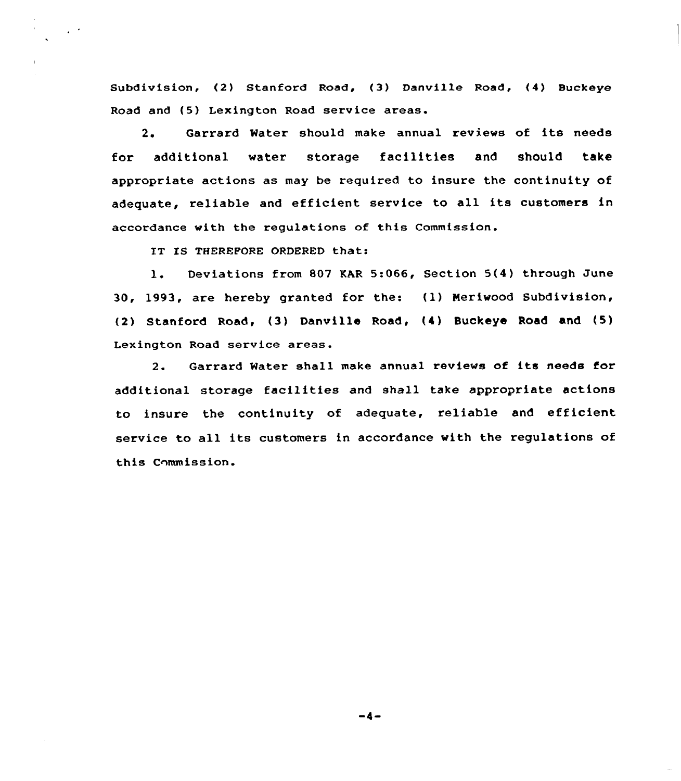Subdivision, (2) Stanford Road, (3) Danvi1le Road, (4) Buckeye Road and (5) Lexington Road service areas.

2. Garrard Mater should make annual reviews of its needs for additional water storage facilities and should take appropriate actions as may be required to insure the continuity of adequate, reliable and efficient service to all its customers in accordance with the regulations of this Commission.

IT IS THEREFORE ORDERED that:

l. Deviations from <sup>807</sup> KAR 5:066, Section 5(4) through June 30, 1993, are hereby granted for the: (1) Meriwood Subdivision, (2) Stanford Road, (3) Danville Road, (4) Buckeye Road and (5) Lexington Road service areas.

2. Garrard Mater shall make annual reviews of its needs for additional storage facilities and shall take appropriate actions to insure the continuity of adequate, reliable and efficient service to all its customers in accordance with the regulations of this Commission.

 $-4-$